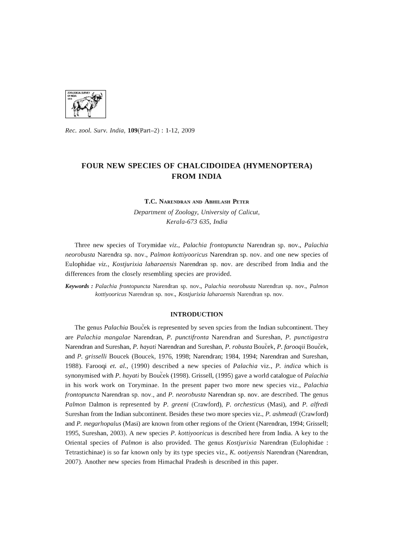

*Rec. zool. Surv. India,* 109(Part-2) : 1-12, 2009

# **FOUR NEW SPECIES OF CHALCIDOIDEA (HYMENOPTERA) FROM INDIA**

#### T.C. NARENDRAN AND ABHILASH PETER

*Department* of *Zoology, University* of *Calicut, Kerala-673* 635, *India* 

Three new species of Torymidae *viz., Palachia frontopuncta* Narendran sp. nov., *Palachia neorobusta* Narendra sp. nov., *Palmon kottiyooricus* Narendran sp. nov. and one new species of Eulophidae *viz., Kostjurixia laharaensis* Narendran sp. nov. are described from India and the differences from the closely resembling species are provided.

*Keywords: Palachia {rontopuncta* Narendran sp. nov., *Palachia neorobusta* Narendran sp. nov., *Palmon kottiyooricus* Narendran sp. nov., *Kostjurixia laharaensis* Narendran sp. nov.

### **INTRODUCTION**

The genus *Palachia* Boucek is represented by seven spcies from the Indian subcontinent. They are *Palachia mangalae* Narendran, P. *punctifronta* Narendran and Sure shan, P. *punctigastra*  Narendran and Sureshan, P. *hayati* Narendran and Sureshan, P. *robusta* Boucek, P. *farooqii* Boucek, and P. *grisselli* Boucek (Boucek, 1976, 1998; Narendran; 1984, 1994; Narendran and Sureshan, 1988). Farooqi *et. al.,* (1990) described a new species of *Palachia* viz., P. *indica* which is synonymised with P. *hayati* by Boucek (1998). Grissell, (1995) gave a world catalogue of *Palachia*  in his work work on Toryminae. In the present paper two more new species viz., *Palachia frontopuncta* Narendran sp. nov., and P. *neorobusta* Narendran sp. nov. are described. The genus *Palmon* Dalmon is represented by P. *greeni* (Crawford), P. *orchesticus* (Masi), and P. *alfredi*  Sureshan from the Indian subcontinent. Besides these two more species viz., P. *ashmeadi* (Crawford) and P. *megarhopalus* (Masi) are known from other regions of the Orient (Narendran, 1994; Grissell; 1995, Sureshan, 2003). A new species P. *kottiyooricus* is described here from India. A key to the Oriental species of *Palmon* is also provided. The genus *Kostjurixia* Narendran (Eulophidae : Tetrastichinae) is so far known only by its type species viz., K. *ootiyensis* Narendran (Narendran, 2007). Another new species from Himachal Pradesh is described in this paper.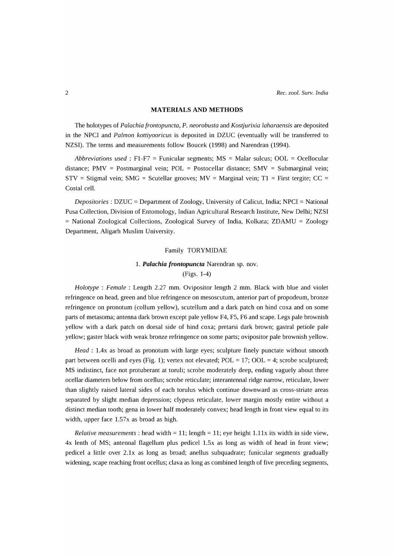### **MATERIALS AND METHODS**

The holotypes of *Palachia frontopuncta,* P. *neorobusta* and *Kostjurixia laharaensis* are deposited in the NPCI and *Palmon kottiyooricus* is deposited in DZUC (eventually will be transferred to NZSI). The terms and measurements follow Boucek (1998) and Narendran (1994).

*Abbreviations used:* F1-F7 = Funicular segments; MS = Malar sulcus; OOL = Ocellocular distance; PMV = Postmarginal vein; POL = Postocellar distance; SMV = Submarginal vein;  $STV =$  Stigmal vein; SMG = Scutellar grooves; MV = Marginal vein; T1 = First tergite; CC = Costal cell.

*Depositories:* DZUC = Department of Zoology, University of Calicut, India; NPCI = National Pusa Collection, Division of Entomology, Indian Agricultural Research Institute, New Delhi; NZSI = National Zoological Collections, Zoological Survey of India, Kolkata; ZDAMU = Zoology Department, Aligarh Muslim University.

### Family TORYMIDAE

## 1. *Palachia frontopuncta* Narendran sp. nov.

### (Figs. 1-4)

*Holotype* : *Female:* Length 2.27 mm. Ovipositor length 2 mm. Black with blue and violet refringence on head, green and blue refringence on mesoscutum, anterior part of propodeum, bronze refringence on pronotum (collum yellow), scutellum and a dark patch on hind coxa and on some parts of metasoma; antenna dark brown except pale yellow F4, F5, F6 and scape. Legs pale brownish yellow with a dark patch on dorsal side of hind coxa; pretarsi dark brown; gastral petiole pale yellow; gaster black with weak bronze refringence on some parts; ovipositor pale brownish yellow.

*Head*: 1.4x as broad as pronotum with large eyes; sculpture finely punctate without smooth part between ocelli and eyes (Fig. 1); vertex not elevated; POL = 17; OOL = 4; scrobe sculptured; MS indistinct, face not protuberant at toruli; scrobe moderately deep, ending vaguely about three ocellar diameters below from ocellus; scrobe reticulate; interantennal ridge narrow, reticulate, lower than slightly raised lateral sides of each torulus which continue downward as cross-striate areas separated by slight median depression; clypeus reticulate, lower margin mostly entire without a distinct median tooth; gena in lower half moderately convex; head length in front view equal to its width, upper face 1.57x as broad as high.

*Relative measurements*: head width = 11; length = 11; eye height 1.11x its width in side view, 4x lenth of MS; antennal flagellum plus pedicel 1.5x as long as width of head in front view; pedicel a little over 2.1x as long as broad; anellus subquadrate; funicular segments gradually widening, scape reaching front ocellus; clava as long as combined length of five preceding segments,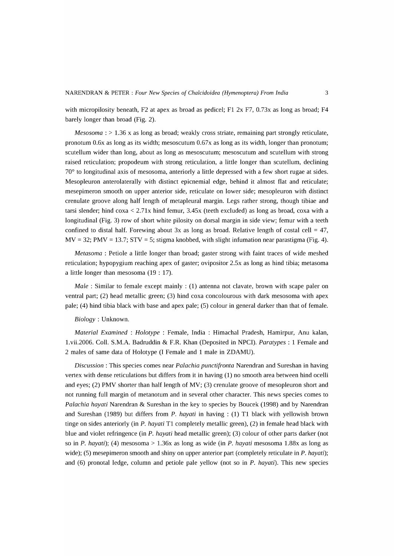with micropilosity beneath, F2 at apex as broad as pedicel; F1 2x F7, 0.73x as long as broad; F4 barely longer than broad (Fig. 2).

*Mesosoma* : > 1.36 x as long as broad; weakly cross striate, remaining part strongly reticulate, pronotum 0.6x as long as its width; mesoscutum 0.67x as long as its width, longer than pronotum; scutellum wider than long, about as long as mesoscutum; mesoscutum and scutellum with strong raised reticulation; propodeum with strong reticulation, a little longer than scutellum, declining 70° to longitudinal axis of mesosoma, anteriorly a little depressed with a few short rugae at sides. Mesopleuron anterolaterally with distinct epicnemial edge, behind it almost flat and reticulate; mesepimeron smooth on upper anterior side, reticulate on lower side; mesopleuron with distinct crenulate groove along half length of metapleural margin. Legs rather strong, though tibiae and tarsi slender; hind coxa < 2.71x hind femur, 3.45x (teeth excluded) as long as broad, coxa with a longitudinal (Fig. 3) row of short white pilosity on dorsal margin in side view; femur with a teeth confined to distal half. Forewing about 3x as long as broad. Relative length of costal cell =  $47$ ,  $MV = 32$ ;  $PMV = 13.7$ ;  $STV = 5$ ; stigma knobbed, with slight infumation near parastigma (Fig. 4).

*Metasoma* : Petiole a little longer than broad; gaster strong with faint traces of wide meshed reticulation; hypopygium reaching apex of gaster; ovipositor 2.5x as long as hind tibia; metasoma a little longer than mesosoma (19 : 17).

*Male*: Similar to female except mainly: (1) antenna not clavate, brown with scape paler on ventral part; (2) head metallic green; (3) hind coxa concolourous with dark mesosoma with apex pale; (4) hind tibia black with base and apex pale; (5) colour in general darker than that of female.

### *Biology:* Unknown.

*Material Examined* : *Holotype* : Female, India : Himachal Pradesh, Hamirpur, Anu kalan, 1.vii.2006. ColI. S.M.A. Badruddin & F.R. Khan (Deposited in NPCI). *Paratypes* : 1 Female and 2 males of same data of Holotype (I Female and 1 male in ZDAMU).

*Discussion:* This species comes near *Palachia punctifronta* Narendran and Sureshan in having vertex with dense reticulations but differs from it in having (1) no smooth area between hind ocelli and eyes; (2) PMV shorter than half length of MV; (3) crenulate groove of mesopleuron short and not running full margin of metanotum and in several other character. This news species comes to *Palachia hayati* Narendran & Sureshan in the key to species by Boucek (1998) and by Narendran and Sureshan (1989) but differs from P. *hayati* in having: (1) Tl black with yellowish brown tinge on sides anteriorly (in P. *hayati* Tl completely metallic green), (2) in female head black with blue and violet refringence (in P. *hayati* head metallic green); (3) colour of other parts darker (not so in P. *hayati);* (4) mesosoma > 1.36x as long as wide (in P. *hayati* mesosoma 1.88x as long as wide); (5) mesepimeron smooth and shiny on upper anterior part (completely reticulate in P. *hayati*); and (6) pronotal ledge, column and petiole pale yellow (not so in P. *hayati).* This new species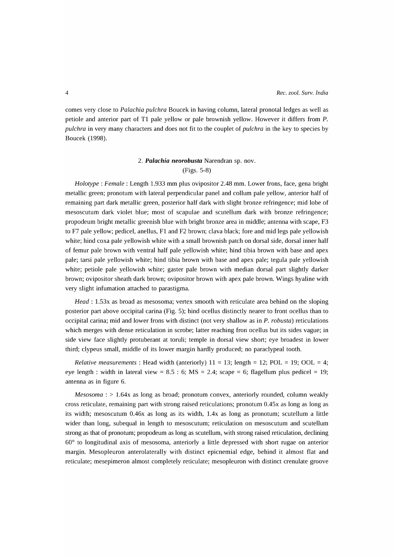comes very close to *Palachia pulchra* Boucek in having column, lateral pronotal ledges as well as petiole and anterior part of T1 pale yellow or pale brownish yellow. However it differs from P. *pulchra* in very many characters and does not fit to the couplet of *pulchra* in the key to species by Boucek (1998).

## *2. Palachia neorobusta* Narendran sp. nov. (Figs. 5-8)

*Holotype* : *Female:* Length 1.933 mm plus ovipositor 2.48 mm. Lower frons, face, gena bright metallic green; pronotum with lateral perpendicular panel and collum pale yellow, anterior half of remaining part dark metallic green, posterior half dark with slight bronze refringence; mid lobe of mesoscutum dark violet blue; most of scapulae and scutellum dark with bronze refringence; propodeum bright metallic greenish blue with bright bronze area in middle; antenna with scape, F3 to F7 pale yellow; pedicel, anellus, F1 and F2 brown; clava black; fore and mid legs pale yellowish white; hind coxa pale yellowish white with a small brownish patch on dorsal side, dorsal inner half of femur pale brown with ventral half pale yellowish white; hind tibia brown with base and apex pale; tarsi pale yellowish white; hind tibia brown with base and apex pale; tegula pale yellowish white; petiole pale yellowish white; gaster pale brown with median dorsal part slightly darker brown; ovipositor sheath dark brown; ovipositor brown with apex pale brown. Wings hyaline with very slight infumation attached to parastigma.

*Head:* 1.53x as broad as mesosoma; vertex smooth with reticulate area behind on the sloping posterior part above occipital carina (Fig. 5); hind ocellus distinctly nearer to front ocellus than to occipital carina; mid and lower frons with distinct (not very shallow as in P. *robusta)* reticulations which merges with dense reticulation in scrobe; latter reaching fron ocellus but its sides vague; in side view face slightly protuberant at toruli; temple in dorsal view short; eye broadest in lower third; clypeus small, middle of its lower margin hardly produced; no paraclypeal tooth.

*Relative measurements*: Head width (anteriorly)  $11 = 13$ ; length = 12; POL = 19; OOL = 4; eye length: width in lateral view =  $8.5 : 6$ ; MS =  $2.4$ ; scape =  $6$ ; flagellum plus pedicel = 19; antenna as in figure 6.

*Mesosoma* : > 1.64x as long as broad; pronotum convex, anteriorly rounded, column weakly cross reticulate, remaining part with strong raised reticulations; pronotum 0.45x as long as long as its width; mesoscutum 0.46x as long as its width, l.4x as long as pronotum; scutellum a little wider than long, subequal in length to mesoscutum; reticulation on mesoscutum and scutellum strong as that of pronotum; propodeum as long as scutellum, with strong raised reticulation, declining 60° to longitudinal axis of mesosoma, anteriorly a little depressed with short rugae on anterior margin. Mesopleuron anterolaterally with distinct epicnemial edge, behind it almost flat and reticulate; mesepimeron almost completely reticulate; mesopleuron with distinct crenulate groove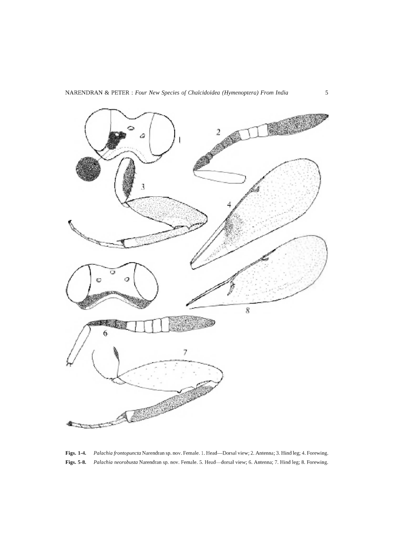

**Figs. 1-4.** *Palachia frontopuncta* Narendran sp. nov. Female. 1. Head-Dorsal view; 2. Antenna; 3. Hind leg; **4.** Forewing. **Figs. 5-8.** *Palachia neorobusta* Narendran sp. nov. Female. 5. Head-dorsal view; 6. Antenna; 7. Hind leg; 8. Forewing.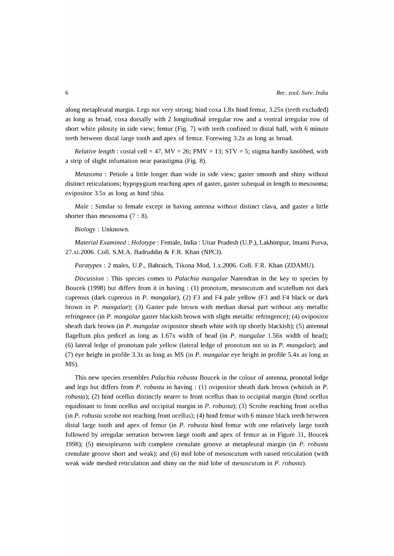along metapleural margin. Legs not very strong; hind coxa 1.8x hind femur, 3.25x (teeth excluded) as long as broad, coxa dorsally with 2 longitudinal irregular row and a ventral irregular row of short white pilosity in side view; femur (Fig. 7) with teeth confined to distal half, with 6 minute teeth between distal large tooth and apex of femur. Forewing 3.2x as long as broad.

*Relative length*:  $\cosh$  costal cell = 47, MV = 26; PMV = 13; STV = 5; stigma hardly knobbed, with a strip of slight infumation near parastigma (Fig. 8).

*Metasoma* : Petiole a little longer than wide in side view; gaster smooth and shiny without distinct reticulations; hypopygium reaching apex of gaster, gaster subequal in length to mesosoma; ovipositor 3.5x as long as hind tibia.

*Male* : Similar to female except in having antenna without distinct clava, and gaster a little shorter than mesosoma (7 : 8).

### *Biology:* Unknown.

*Material Examined: Holotype* : Female, India: Uttar Pradesh (U.P.), Lakhimpur, Imami Purva, 27.xi.2006. ColI. S.M.A. Badruddin & F.R. Khan (NPCI).

*Para types* : 2 males, U.P., Bahraich, Tikona Mod, l.x.2006. ColI. F.R. Khan (ZDAMU).

*Discussion:* This species comes to *Palachia mangalae* Narendran in the key to species by Boucek (1998) but differs from it in having: (1) pronotum, mesoscutum and scutellum not dark cupreous (dark cupreous in P. *mangalae),* (2) F3 and F4 pale yellow (F3 and F4 black or dark brown in P. *mangalae);* (3) Gaster pale brown with median dorsal part without any metallic refringence (in P. *mangalae* gaster blackish brown with slight metallic refringence); (4) ovipositor sheath dark brown (in P. *mangalae* ovipositor sheath white with tip shortly blackish); (5) antennal flagellum plus pedicel as long as 1.67x width of head (in P. *mangalae* 1.56x width of head); (6) lateral ledge of pronotum pale yellow (lateral ledge of pronotum not so in P. *mangalae);* and (7) eye height in profile 3.3x as long as MS (in P. *mangalae* eye height in profile *5Ax* as long as MS).

This new species resembles *Palachia robusta* Boucek in the colour of antenna, pronotal ledge and legs but differs from P. *robusta* in having: (1) ovipositor sheath dark brown (whitish in P. *robusta);* (2) hind ocellus distinctly nearer to front ocellus than to occipital margin (hind ocellus equidistant to front ocellus and occipital margin in P. *robusta);* (3) Scrobe reaching front ocellus (in P. *robusta* scrobe not reaching front ocellus); (4) hind femur with 6 minute black teeth between distal large tooth and apex of femur (in P. *robusta* hind femur with one relatively large tooth followed by irregular serration between large tooth and apex of femur as in Figure 31, Boucek 1998); (5) mesopleuron with complete crenulate groove at metapleural margin (in P. *robusta*  crenulate groove short and weak); and (6) mid lobe of mesoscutum with raised reticulation (with weak wide meshed reticulation and shiny on the mid lobe of mesoscutum in P. *robusta).*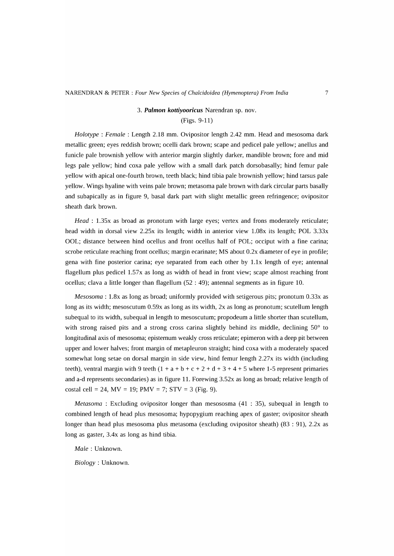## 3. *Palm on kottiyooricus* Narendran sp. nov.

(Figs. 9-11)

*Holotype : Female : Length 2.18 mm. Ovipositor length 2.42 mm. Head and mesosoma dark* metallic green; eyes reddish brown; ocelli dark brown; scape and pedicel pale yellow; anellus and funicle pale brownish yellow with anterior margin slightly darker, mandible brown; fore and mid legs pale yellow; hind coxa pale yellow with a small dark patch dorsobasally; hind femur pale yellow with apical one-fourth brown, teeth black; hind tibia pale brownish yellow; hind tarsus pale yellow. Wings hyaline with veins pale brown; metasoma pale brown with dark circular parts basally and subapically as in figure 9, basal dark part with slight metallic green refringence; ovipositor sheath dark brown.

*Head* : 1.3Sx as broad as pronotum with large eyes; vertex and frons moderately reticulate; head width in dorsal view 2.2Sx its length; width in anterior view 1.08x its length; POL 3.33x OOL; distance between hind ocellus and front ocellus half of POL; occiput with a fine carina; scrobe reticulate reaching front ocellus; margin ecarinate; MS about O.2x diameter of eye in profile; gena with fine posterior carina; eye separated from each other by 1.1x length of eye; antennal flagellum plus pedicel 1.57x as long as width of head in front view; scape almost reaching front ocellus; clava a little longer than flagellum (S2 : 49); antennal segments as in figure 10.

*Mesosoma* : 1.8x as long as broad; uniformly provided with setigerous pits; pronotum 0.33x as long as its width; mesoscutum 0.S9x as long as its width, 2x as long as pronotum; scutellum length subequal to its width, subequal in length to mesoscutum; propodeum a little shorter than scutellum, with strong raised pits and a strong cross carina slightly behind its middle, declining 50° to longitudinal axis of mesosoma; episternum weakly cross reticulate; epimeron with a deep pit between upper and lower halves; front margin of metapleuron straight; hind coxa with a moderately spaced somewhat long setae on dorsal margin in side view, hind femur length 2.27x its width (including teeth), ventral margin with 9 teeth  $(1 + a + b + c + 2 + d + 3 + 4 + 5$  where 1-5 represent primaries and a-d represents secondaries) as in figure 11. Forewing 3.S2x as long as broad; relative length of costal cell = 24,  $MV = 19$ ;  $PMV = 7$ ;  $STV = 3$  (Fig. 9).

*Metasoma* : Excluding ovipositor longer than mesososma (41 : 3S), subequal in length to combined length of head plus mesosoma; hypopygium reaching apex of gaster; ovipositor sheath longer than head plus mesosoma plus metasoma (excluding ovipositor sheath) (83 : 91), 2.2x as long as gaster, 3.4x as long as hind tibia.

*Male:* Unknown.

*Biology:* Unknown.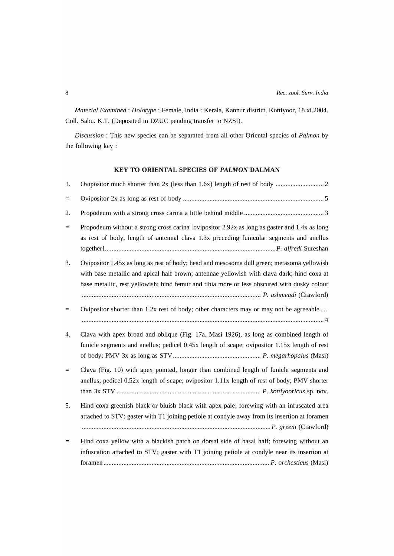*Material Examined: Holotype* : Female, India: Kerala, Kannur district, Kottiyoor, lS.xi.2004. ColI. Sabu. K.T. (Deposited in DZUC pending transfer to NZSI).

*Discussion* : This new species can be separated from all other Oriental species of *Palmon* by the following key :

## KEY TO ORIENTAL SPECIES OF *PALMON* DALMAN

| 1.       |                                                                                                                                                                                                                                                                                         |
|----------|-----------------------------------------------------------------------------------------------------------------------------------------------------------------------------------------------------------------------------------------------------------------------------------------|
| $\equiv$ |                                                                                                                                                                                                                                                                                         |
| 2.       |                                                                                                                                                                                                                                                                                         |
| $=$      | Propodeum without a strong cross carina [ovipositor 2.92x as long as gaster and 1.4x as long<br>as rest of body, length of antennal clava 1.3x preceding funicular segments and anellus                                                                                                 |
| 3.       | Ovipositor 1.45x as long as rest of body; head and mesosoma dull green; metasoma yellowish<br>with base metallic and apical half brown; antennae yellowish with clava dark; hind coxa at<br>base metallic, rest yellowish; hind femur and tibia more or less obscured with dusky colour |
| $=$      | Ovipositor shorter than 1.2x rest of body; other characters may or may not be agreeable                                                                                                                                                                                                 |
| 4.       | Clava with apex broad and oblique (Fig. 17a, Masi 1926), as long as combined length of<br>funicle segments and anellus; pedicel 0.45x length of scape; ovipositor 1.15x length of rest                                                                                                  |
| $=$      | Clava (Fig. 10) with apex pointed, longer than combined length of funicle segments and<br>anellus; pedicel 0.52x length of scape; ovipositor 1.11x length of rest of body; PMV shorter                                                                                                  |
| 5.       | Hind coxa greenish black or bluish black with apex pale; forewing with an infuscated area<br>attached to STV; gaster with T1 joining petiole at condyle away from its insertion at foramen                                                                                              |
| $=$      | Hind coxa yellow with a blackish patch on dorsal side of basal half; forewing without an<br>infuscation attached to STV; gaster with T1 joining petiole at condyle near its insertion at                                                                                                |

foramen .................................................................................................... P. *orchesticus* (Masi)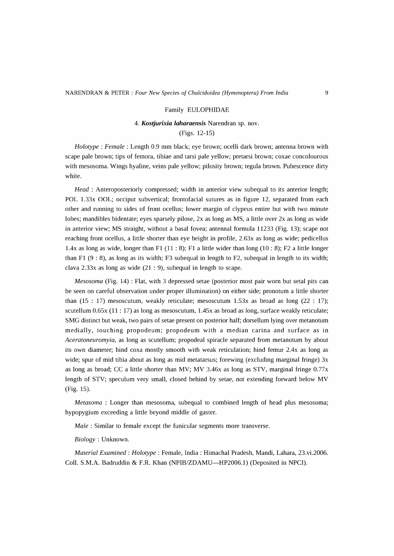### Family EULOPHIDAE

## *4. Kostjurixia laharaensis* Narendran sp. nov.

(Figs. 12-15)

*Holotype* : *Female:* Length 0.9 mm black; eye brown; ocelli dark brown; antenna brown with scape pale brown; tips of femora, tibiae and tarsi pale yellow; pretarsi brown; coxae concolourous with mesosoma. Wings hyaline, veins pale yellow; pilosity brown; tegula brown. Pubescence dirty white.

*Head* : Anteroposteriorly compressed; width in anterior view subequal to its anterior length; POL 1.33x OOL; occiput subvertical; frontofacial sutures as in figure 12, separated from each other and running to sides of front ocellus; lower margin of clypeus entire but with two minute lobes; mandibles bidentate; eyes sparsely pilose, 2x as long as MS, a little over 2x as long as wide in anterior view; MS straight, without a basal fovea; antennal formula 11233 (Fig. 13); scape not reaching front ocellus, a little shorter than eye height in profile, 2.63x as long as wide; pedicellus 1.4x as long as wide, longer than F1  $(11:8)$ ; F1 a little wider than long  $(10:8)$ ; F2 a little longer than F1 (9 : 8), as long as its width; F3 subequal in length to F2, subequal in length to its width; clava 2.33x as long as wide (21 : 9), subequal in length to scape.

*Mesosoma* (Fig. 14) : Flat, with 3 depressed setae (posterior most pair worn but setal pits can be seen on careful observation under proper illumination) on either side; pronotum a little shorter than  $(15 : 17)$  mesoscutum, weakly reticulate; mesoscutum 1.53x as broad as long  $(22 : 17)$ ; scutellum 0.65x (11 : 17) as long as mesoscutum, 1.45x as broad as long, surface weakly reticulate; SMG distinct but weak, two pairs of setae present on posterior half; dorsellum lying over metanotum medially, touching propodeum; propodeum with a median carina and surface as in *Aceratoneuromyia,* as long as scutellum; propodeal spiracle separated from metanotum by about its own diameter; hind coxa mostly smooth with weak reticulation; hind femur 2.4x as long as wide; spur of mid tibia about as long as mid metatarsus; forewing (excluding marginal fringe) 3x as long as broad; CC a little shorter than MV; MV 3.46x as long as STY, marginal fringe 0.77x length of STY; speculum very small, closed behind by setae, not extending forward below MV (Fig. 15).

*Metasoma* : Longer than mesosoma, subequal to combined length of head plus mesosoma; hypopygium exceeding a little beyond middle of gaster.

*Male:* Similar to female except the funicular segments more transverse.

*Biology:* Unknown.

*Material Examined: Holotype* : Female, India: Himachal Pradesh, Mandi, Lahara, 23.vi.2006. Coll. S.M.A. Badruddin & F.R. Khan (NPIB/ZDAMU-HP2006.1) (Deposited in NPCI).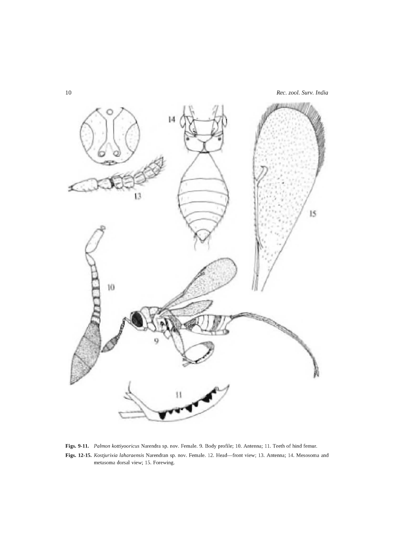



**Figs. 9-11.** *Falmon kottiyooricus* Narendra sp. nov. Female. 9. Body profile; 10. Antenna; 11. Teeth of hind femur. Figs. 12-15. *Kostjurixia laharaensis Narendran sp. nov. Female. 12. Head-front view; 13. Antenna; 14. Mesosoma and* metasoma dorsal view; 15. Forewing.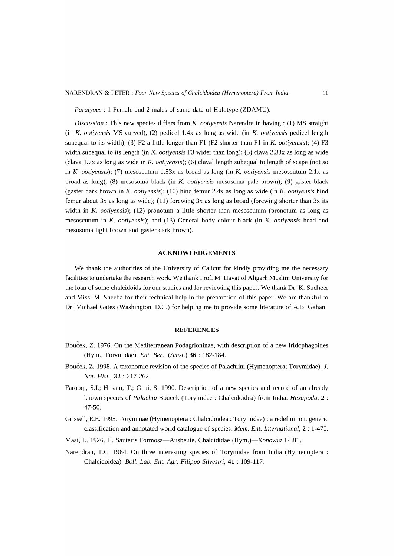NARENDRAN & PETER: *Four New Species of Chalcidoidea (Hymenoptera) From India* 11

*Para types* : 1 Female and 2 males of same data of Holotype (ZDAMU).

*Discussion:* This new species differs from K. *ootiyensis* Narendra in having: (1) MS straight (in K. *ootiyensis* MS curved), (2) pedicel *lAx* as long as wide (in K. *ootiyensis* pedicel length subequal to its width); (3) F2 a little longer than F1 (F2 shorter than F1 in K. *ootiyensis);* (4) F3 width subequal to its length (in K. *ootiyensis* F3 wider than long); (5) clava 2.33x as long as wide (clava 1.7x as long as wide in K. *ootiyensis);* (6) claval length subequal to length of scape (not so in K. *ootiyensis*); (7) mesoscutum 1.53x as broad as long (in K. *ootiyensis* mesoscutum 2.1x as broad as long); (8) mesosoma black (in K. *ootiyensis* mesosoma pale brown); (9) gaster black (gaster dark brown in K. *ootiyensis);* (10) hind femur *2Ax* as long as wide (in K. *ootiyensis* hind femur about 3x as long as wide); (11) forewing 3x as long as broad (forewing shorter than 3x its width in *K. ootiyensis*); (12) pronotum a little shorter than mesoscutum (pronotum as long as mesoscutum in K. *ootiyensis);* and (13) General body colour black (in K. *ootiyensis* head and mesosoma light brown and gaster dark brown).

### ACKNOWLEDGEMENTS

We thank the authorities of the University of Calicut for kindly providing me the necessary facilities to undertake the research work. We thank Prof. M. Hayat of Aligarh Muslim University for the loan of some chalcidoids for our studies and for reviewing this paper. We thank Dr. K. Sudheer and Miss. M. Sheeba for their technical help in the preparation of this paper. We are thankful to Dr. Michael Gates (Washington, D.C.) for helping me to provide some literature of A.B. Gahan.

#### **REFERENCES**

- Boucek, Z. 1976. On the Mediterranean Podagrioninae, with description of a new Iridophagoides (Hym., Torymidae). *Ent. Ber., (Arnst.)* 36 : 182-184.
- Bouček, Z. 1998. A taxonomic revision of the species of Palachiini (Hymenoptera; Torymidae). J. *Nat. Rist.,* 32 : 217-262.
- Farooqi, S.l.; Husain, T.; Ghai, S. 1990. Description of a new species and record of an already known species of *Palachia* Boucek (Torymidae : Chalcidoidea) from India. *Rexapoda,* 2 : 47-50.
- Grissell, E.E. 1995. Toryminae (Hymenoptera: Chalcidoidea : Torymidae) : a redefinition, generic classification and annotated world catalogue of species. *Mem. Ent. International,* 2 : 1-470.
- Masi, L. 1926. H. Sauter's Formosa-Ausbeute. Chalcididae (Hym.)-Konowia 1-381.
- Narendran, T.C. 1984. On three interesting species of Torymidae from India (Hymenoptera: Chalcidoidea). *Boll. Lab. Ent. Agr. Filippo Silvestri,* 41 : 109-117.